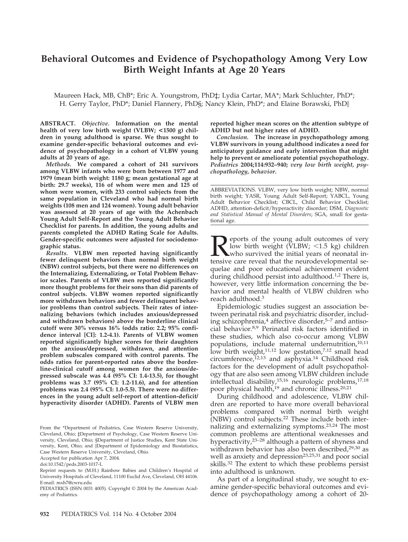# **Behavioral Outcomes and Evidence of Psychopathology Among Very Low Birth Weight Infants at Age 20 Years**

Maureen Hack, MB, ChB\*; Eric A. Youngstrom, PhD‡; Lydia Cartar, MA\*; Mark Schluchter, PhD\*; H. Gerry Taylor, PhD\*; Daniel Flannery, PhD§; Nancy Klein, PhD\*; and Elaine Borawski, PhD||

**ABSTRACT.** *Objective.* **Information on the mental health of very low birth weight (VLBW; <1500 g) children in young adulthood is sparse. We thus sought to examine gender-specific behavioral outcomes and evidence of psychopathology in a cohort of VLBW young adults at 20 years of age.**

*Methods.* **We compared a cohort of 241 survivors among VLBW infants who were born between 1977 and 1979 (mean birth weight: 1180 g; mean gestational age at birth: 29.7 weeks), 116 of whom were men and 125 of whom were women, with 233 control subjects from the same population in Cleveland who had normal birth weights (108 men and 124 women). Young adult behavior was assessed at 20 years of age with the Achenbach Young Adult Self-Report and the Young Adult Behavior Checklist for parents. In addition, the young adults and parents completed the ADHD Rating Scale for Adults. Gender-specific outcomes were adjusted for sociodemographic status.**

*Results.* **VLBW men reported having significantly fewer delinquent behaviors than normal birth weight (NBW) control subjects, but there were no differences on the Internalizing, Externalizing, or Total Problem Behavior scales. Parents of VLBW men reported significantly more thought problems for their sons than did parents of control subjects. VLBW women reported significantly more withdrawn behaviors and fewer delinquent behavior problems than control subjects. Their rates of internalizing behaviors (which includes anxious/depressed and withdrawn behaviors) above the borderline clinical cutoff were 30% versus 16% (odds ratio: 2.2; 95% confidence interval [CI]: 1.2-4.1). Parents of VLBW women reported significantly higher scores for their daughters on the anxious/depressed, withdrawn, and attention problem subscales compared with control parents. The odds ratios for parent-reported rates above the borderline-clinical cutoff among women for the anxious/depressed subscale was 4.4 (95% CI: 1.4-13.5), for thought problems was 3.7 (95% CI: 1.2-11.6), and for attention problems was 2.4 (95% CI: 1.0-5.5). There were no differences in the young adult self-report of attention-deficit/ hyperactivity disorder (ADHD). Parents of VLBW men**

From the \*Department of Pediatrics, Case Western Reserve University, Cleveland, Ohio; ‡Department of Psychology, Case Western Reserve University, Cleveland, Ohio; §Department of Justice Studies, Kent State University, Kent, Ohio; and ||Department of Epidemiology and Biostatistics, Case Western Reserve University, Cleveland, Ohio.

Accepted for publication Apr 7, 2004.

doi:10.1542/peds.2003-1017-L

Reprint requests to (M.H.) Rainbow Babies and Children's Hospital of University Hospitals of Cleveland, 11100 Euclid Ave, Cleveland, OH 44106. E-mail: mxh7@cwru.edu

PEDIATRICS (ISSN 0031 4005). Copyright © 2004 by the American Academy of Pediatrics.

**reported higher mean scores on the attention subtype of ADHD but not higher rates of ADHD.**

*Conclusion.* **The increase in psychopathology among VLBW survivors in young adulthood indicates a need for anticipatory guidance and early intervention that might help to prevent or ameliorate potential psychopathology.** *Pediatrics* **2004;114:932–940;** *very low birth weight, psychopathology, behavior.*

ABBREVIATIONS. VLBW, very low birth weight; NBW, normal birth weight; YASR, Young Adult Self-Report; YABCL, Young Adult Behavior Checklist; CBCL, Child Behavior Checklist; ADHD, attention-deficit/hyperactivity disorder; DSM, *Diagnostic and Statistical Manual of Mental Disorders*; SGA, small for gestational age.

eports of the young adult outcomes of very low birth weight (VLBW;  $\leq$ 1.5 kg) children who survived the initial years of neonatal intensive care reveal that the neurodevelopmental sequelae and poor educational achievement evident during childhood persist into adulthood.<sup>1,2</sup> There is, however, very little information concerning the behavior and mental health of VLBW children who reach adulthood.3

Epidemiologic studies suggest an association between perinatal risk and psychiatric disorder, including schizophrenia, $4$  affective disorder, $5-7$  and antisocial behavior.8,9 Perinatal risk factors identified in these studies, which also co-occur among VLBW populations, include maternal undernutrition,<sup>10,11</sup> low birth weight,<sup>11,12</sup> low gestation,<sup>7,12</sup> small head circumference,12,13 and asphyxia.14 Childhood risk factors for the development of adult psychopathology that are also seen among VLBW children include intellectual disability,15,16 neurologic problems,17,18 poor physical health,<sup>19</sup> and chronic illness.<sup>20,21</sup>

During childhood and adolescence, VLBW children are reported to have more overall behavioral problems compared with normal birth weight (NBW) control subjects.22 These include both internalizing and externalizing symptoms.23,24 The most common problems are attentional weaknesses and hyperactivity,  $23-28$  although a pattern of shyness and withdrawn behavior has also been described,<sup>29,30</sup> as well as anxiety and depression $23,25,31$  and poor social skills.32 The extent to which these problems persist into adulthood is unknown.

As part of a longitudinal study, we sought to examine gender-specific behavioral outcomes and evidence of psychopathology among a cohort of 20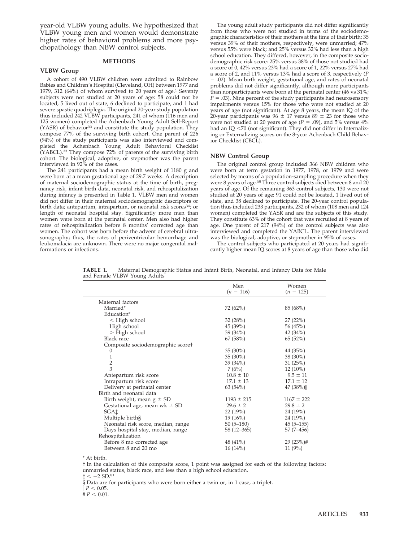year-old VLBW young adults. We hypothesized that VLBW young men and women would demonstrate higher rates of behavioral problems and more psychopathology than NBW control subjects.

### **METHODS**

#### **VLBW Group**

A cohort of 490 VLBW children were admitted to Rainbow Babies and Children's Hospital (Cleveland, OH) between 1977 and 1979, 312 (64%) of whom survived to 20 years of age.1 Seventy subjects were not studied at 20 years of age: 58 could not be located, 5 lived out of state, 6 declined to participate, and 1 had severe spastic quadriplegia. The original 20-year study population thus included 242 VLBW participants, 241 of whom (116 men and 125 women) completed the Achenbach Young Adult Self-Report (YASR) of behavior<sup>33</sup> and constitute the study population. They compose 77% of the surviving birth cohort. One parent of 226 (94%) of the study participants was also interviewed and completed the Achenbach Young Adult Behavioral Checklist (YABCL).<sup>33</sup> They compose 72% of parents of the surviving birth cohort. The biological, adoptive, or stepmother was the parent interviewed in 92% of the cases.

The 241 participants had a mean birth weight of 1180 g and were born at a mean gestational age of 29.7 weeks. A description of maternal sociodemographic status at the time of birth, pregnancy risk, infant birth data, neonatal risk, and rehospitalization during infancy is presented in Table 1. VLBW men and women did not differ in their maternal sociodemographic descriptors or birth data; antepartum, intrapartum, or neonatal risk scores<sup>34</sup>; or length of neonatal hospital stay. Significantly more men than women were born at the perinatal center. Men also had higher rates of rehospitalization before 8 months' corrected age than women. The cohort was born before the advent of cerebral ultrasonography; thus, the rates of periventricular hemorrhage and leukomalacia are unknown. There were no major congenital malformations or infections.

The young adult study participants did not differ significantly from those who were not studied in terms of the sociodemographic characteristics of their mothers at the time of their birth; 35 versus 39% of their mothers, respectively, were unmarried; 47% versus 55% were black; and 25% versus 32% had less than a high school education. They differed, however, in the composite sociodemographic risk score: 25% versus 38% of those not studied had a score of 0, 42% versus 23% had a score of 1, 22% versus 27% had a score of 2, and 11% versus 13% had a score of 3, respectively (*P* - .02). Mean birth weight, gestational age, and rates of neonatal problems did not differ significantly, although more participants than nonparticipants were born at the perinatal center (46 vs 31%;  $P = .03$ ). Nine percent of the study participants had neurosensory impairments versus 15% for those who were not studied at 20 years of age (not significant). At age 8 years, the mean IQ of the 20-year participants was  $96 \pm 17$  versus  $89 \pm 23$  for those who were not studied at 20 years of age  $(P = .09)$ , and 5% versus 4% had an IQ  $\leq$ 70 (not significant). They did not differ in Internalizing or Externalizing scores on the 8-year Achenbach Child Behavior Checklist (CBCL).

#### **NBW Control Group**

The original control group included 366 NBW children who were born at term gestation in 1977, 1978, or 1979 and were selected by means of a population-sampling procedure when they were 8 years of age.<sup>35</sup> Three control subjects died between 8 and 20 years of age. Of the remaining 363 control subjects, 130 were not studied at 20 years of age: 91 could not be located, 1 lived out of state, and 38 declined to participate. The 20-year control population thus included 233 participants, 232 of whom (108 men and 124 women) completed the YASR and are the subjects of this study. They constitute 63% of the cohort that was recruited at 8 years of age. One parent of 217 (94%) of the control subjects was also interviewed and completed the YABCL. The parent interviewed was the biological, adoptive, or stepmother in 95% of cases.

The control subjects who participated at 20 years had significantly higher mean IQ scores at 8 years of age than those who did

**TABLE 1.** Maternal Demographic Status and Infant Birth, Neonatal, and Infancy Data for Male and Female VLBW Young Adults

|                                    | Men            | Women          |
|------------------------------------|----------------|----------------|
|                                    | $(n = 116)$    | $(n = 125)$    |
| Maternal factors                   |                |                |
| Married*                           | 72 (62%)       | 85 (68%)       |
| Education*                         |                |                |
| $<$ High school                    | 32(28%)        | 27(22%)        |
| High school                        | 45(39%)        | 56 (45%)       |
| $>$ High school                    | 39(34%)        | 42 (34%)       |
| Black race                         | 67(58%)        | 65 (52%)       |
| Composite sociodemographic scoret  |                |                |
| $\theta$                           | $35(30\%)$     | 44 (35%)       |
| 1                                  | $35(30\%)$     | $38(30\%)$     |
| $\overline{2}$                     | 39(34%)        | 31(25%)        |
| 3                                  | 7(6%)          | $12(10\%)$     |
| Antepartum risk score              | $10.8 \pm 10$  | $9.5 \pm 11$   |
| Intrapartum risk score             | $17.1 \pm 13$  | $17.1 \pm 12$  |
| Delivery at perinatal center       | 63(54%)        | $47 (38\%)$    |
| Birth and neonatal data            |                |                |
| Birth weight, mean $g \pm SD$      | $1193 \pm 215$ | $1167 \pm 222$ |
| Gestational age, mean wk $\pm$ SD  | $29.6 \pm 2$   | $29.8 \pm 2$   |
| SGA‡                               | 22(19%)        | 24(19%)        |
| Multiple birth§                    | $19(16\%)$     | 24 (19%)       |
| Neonatal risk score, median, range | $50(5-180)$    | $45(5-155)$    |
| Days hospital stay, median, range  | $58(12-365)$   | $57(7-456)$    |
| Rehospitalization                  |                |                |
| Before 8 mo corrected age          | 48 (41%)       | $29(23%)$ #    |
| Between 8 and 20 mo                | $16(14\%)$     | $11(9\%)$      |

\* At birth.

† In the calculation of this composite score, 1 point was assigned for each of the following factors: unmarried status, black race, and less than a high school education.

 $\text{ }$   $\text{ }$   $\text{ }$   $\text{ }$   $\text{ }$   $\text{ }$   $\text{ }$   $\text{ }$   $\text{ }$   $\text{ }$   $\text{ }$   $\text{ }$   $\text{ }$   $\text{ }$   $\text{ }$   $\text{ }$   $\text{ }$   $\text{ }$   $\text{ }$   $\text{ }$   $\text{ }$   $\text{ }$   $\text{ }$   $\text{ }$   $\text{ }$   $\text{ }$   $\text{ }$   $\text{ }$   $\text{ }$   $\text{ }$   $\text{ }$   $\text{$ 

§ Data are for participants who were born either a twin or, in 1 case, a triplet.

 $P < 0.05$ .

 $\# P < 0.01.$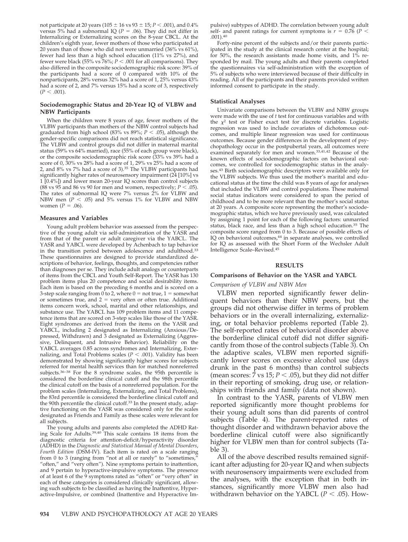not participate at 20 years ( $105 \pm 16$  vs  $93 \pm 15$ ;  $P < .001$ ), and  $0.4\%$ versus 5% had a subnormal IQ ( $P = .06$ ). They did not differ in Internalizing or Externalizing scores on the 8-year CBCL. At the children's eighth year, fewer mothers of those who participated at 20 years than of those who did not were unmarried (36% vs 61%), fewer had less than a high school education (11% vs 27%), and fewer were black (55% vs  $76\%$ ;  $P < .001$  for all comparisons). They also differed in the composite sociodemographic risk score: 39% of the participants had a score of 0 compared with 10% of the nonparticipants, 28% versus 32% had a score of 1, 25% versus 43% had a score of 2, and 7% versus 15% had a score of 3, respectively  $(P < .001)$ .

## **Sociodemographic Status and 20-Year IQ of VLBW and NBW Participants**

When the children were 8 years of age, fewer mothers of the VLBW participants than mothers of the NBW control subjects had graduated from high school (83% vs  $89\%$ ;  $P < .05$ ), although the gender-specific comparisons did not reach statistical significance. The VLBW and control groups did not differ in maternal marital status (59% vs 64% married), race (55% of each group were black), or the composite sociodemographic risk score (33% vs 39% had a score of 0, 30% vs 28% had a score of 1, 29% vs 25% had a score of 2, and  $8\%$  vs 7% had a score of 3).<sup>35</sup> The VLBW participants had significantly higher rates of neurosensory impairment (24 [10%] vs 1 [0.4%]) and lower mean 20-year IQ scores than control subjects (88 vs 95 and 86 vs 90 for men and women, respectively;  $P < .05$ ). The rates of subnormal IQ were  $7\%$  versus  $2\%$  for VLBW and NBW men ( $P < .05$ ) and 5% versus 1% for VLBW and NBW women  $(P=.06)$ .

#### **Measures and Variables**

Young adult problem behavior was assessed from the perspective of the young adult via self-administration of the YASR and from that of the parent or adult caregiver via the YABCL. The YASR and YABCL were developed by Achenbach to tap behavior in the transition period between adolescence and adulthood.<sup>33</sup> These questionnaires are designed to provide standardized descriptions of behavior, feelings, thoughts, and competencies rather than diagnoses per se. They include adult analogs or counterparts of items from the CBCL and Youth Self-Report. The YASR has 130 problem items plus 20 competence and social desirability items. Each item is based on the preceding 6 months and is scored on a 3-step scale ranging from  $0$  to 2, where  $0 =$  not true,  $1 =$  somewhat or sometimes true, and  $2 =$  very often or often true. Additional items concern work, school, marital and other relationships, and substance use. The YABCL has 109 problem items and 11 competence items that are scored on 3-step scales like those of the YASR. Eight syndromes are derived from the items on the YASR and YABCL, including 2 designated as Internalizing (Anxious/Depressed, Withdrawn) and 3 designated as Externalizing (Aggressive, Delinquent, and Intrusive Behavior). Reliability on the YABCL averages 0.85 across syndromes and Internalizing, Externalizing, and Total Problems scales ( $P < .001$ ). Validity has been demonstrated by showing significantly higher scores for subjects referred for mental health services than for matched nonreferred subjects.36–38 For the 8 syndrome scales, the 95th percentile is considered the borderline clinical cutoff and the 98th percentile the clinical cutoff on the basis of a nonreferred population. For the problem scales (Internalizing, Externalizing, and Total Problems), the 83rd percentile is considered the borderline clinical cutoff and the 90th percentile the clinical cutoff.33 In the present study, adaptive functioning on the YASR was considered only for the scales designated as Friends and Family as these scales were relevant for all subjects.

The young adults and parents also completed the ADHD Rating Scale for Adults.39,40 This scale contains 18 items from the diagnostic criteria for attention-deficit/hyperactivity disorder (ADHD) in the *Diagnostic and Statistical Manual of Mental Disorders*, *Fourth Edition* (DSM-IV). Each item is rated on a scale ranging from 0 to 3 (ranging from "not at all or rarely" to "sometimes," "often," and "very often"). Nine symptoms pertain to inattention, and 9 pertain to hyperactive-impulsive symptoms. The presence of at least 6 of the 9 symptoms rated as "often" or "very often" in each of these categories is considered clinically significant, allowing such subjects to be classified as having the Inattentive, Hyperactive-Impulsive, or combined (Inattentive and Hyperactive Impulsive) subtypes of ADHD. The correlation between young adult self- and parent ratings for current symptoms is  $r = 0.76$  ( $P <$ .001).40

Forty-nine percent of the subjects and/or their parents participated in the study at the clinical research center at the hospital; for 50%, the research assistants made home visits, and 1% responded by mail. The young adults and their parents completed the questionnaires via self-administration with the exception of 5% of subjects who were interviewed because of their difficulty in reading. All of the participants and their parents provided written informed consent to participate in the study.

#### **Statistical Analyses**

Univariate comparisons between the VLBW and NBW groups were made with the use of *t* test for continuous variables and with the  $\chi^2$  test or Fisher exact test for discrete variables. Logistic regression was used to include covariates of dichotomous outcomes, and multiple linear regression was used for continuous outcomes. Because gender differences in the development of psychopathology occur in the postpubertal years, all outcomes were examined separately for men and women.33,41,42 Because of the known effects of sociodemographic factors on behavioral outcomes, we controlled for sociodemographic status in the analyses.43 Birth sociodemographic descriptors were available only for the VLBW subjects. We thus used the mother's marital and educational status at the time the child was 8 years of age for analyses that included the VLBW and control populations. These maternal social status indicators were considered to span the period of childhood and to be more relevant than the mother's social status at 20 years. A composite score representing the mother's sociodemographic status, which we have previously used, was calculated by assigning 1 point for each of the following factors: unmarried status, black race, and less than a high school education.35 The composite score ranged from 0 to 3. Because of possible effects of IQ on behavioral outcomes,<sup>44</sup> in separate analyses, we controlled for IQ as assessed with the Short Form of the Wechsler Adult Intelligence Scale–Revised.45

#### **RESULTS**

#### **Comparisons of Behavior on the YASR and YABCL**

#### *Comparison of VLBW and NBW Men*

VLBW men reported significantly fewer delinquent behaviors than their NBW peers, but the groups did not otherwise differ in terms of problem behaviors or in the overall internalizing, externalizing, or total behavior problems reported (Table 2). The self-reported rates of behavioral disorder above the borderline clinical cutoff did not differ significantly from those of the control subjects (Table 3). On the adaptive scales, VLBW men reported significantly lower scores on excessive alcohol use (days drunk in the past 6 months) than control subjects (mean scores: 7 vs 15;  $P < .05$ ), but they did not differ in their reporting of smoking, drug use, or relationships with friends and family (data not shown).

In contrast to the YASR, parents of VLBW men reported significantly more thought problems for their young adult sons than did parents of control subjects (Table 4). The parent-reported rates of thought disorder and withdrawn behavior above the borderline clinical cutoff were also significantly higher for VLBW men than for control subjects (Table 3).

All of the above described results remained significant after adjusting for 20-year IQ and when subjects with neurosensory impairments were excluded from the analyses, with the exception that in both instances, significantly more VLBW men also had withdrawn behavior on the YABCL ( $P < .05$ ). How-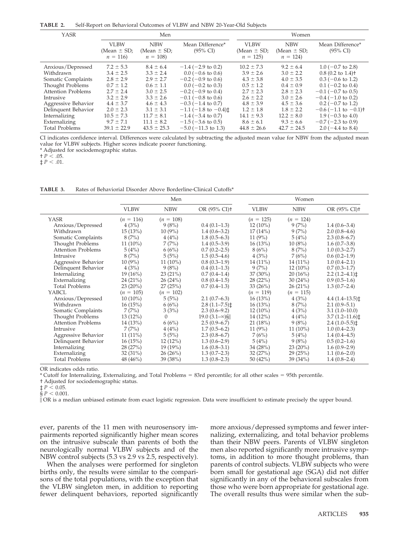| TABLE 2. | Self-Report on Behavioral Outcomes of VLBW and NBW 20-Year-Old Subjects |  |  |  |  |  |  |
|----------|-------------------------------------------------------------------------|--|--|--|--|--|--|
|----------|-------------------------------------------------------------------------|--|--|--|--|--|--|

| <b>YASR</b>               |                                      | Men                                        |                                                   | Women                                |                                            |                                         |  |
|---------------------------|--------------------------------------|--------------------------------------------|---------------------------------------------------|--------------------------------------|--------------------------------------------|-----------------------------------------|--|
|                           | VLBW<br>(Mean $\pm$ SD;<br>$n = 116$ | <b>NBW</b><br>(Mean $\pm$ SD;<br>$n = 108$ | Mean Difference*<br>$(95\% \text{ CI})$           | VLBW<br>(Mean $\pm$ SD;<br>$n = 125$ | <b>NBW</b><br>(Mean $\pm$ SD;<br>$n = 124$ | Mean Difference*<br>$(95\% \text{ CI})$ |  |
| Anxious/Depressed         | $7.2 \pm 5.3$                        | $8.4 \pm 6.4$                              | $-1.4$ (-2.9 to 0.2)                              | $10.2 \pm 7.3$                       | $9.2 \pm 6.4$                              | $1.0$ (-0.7 to 2.8)                     |  |
| Withdrawn                 | $3.4 \pm 2.5$                        | $3.3 \pm 2.4$                              | $0.0$ (-0.6 to 0.6)                               | $3.9 \pm 2.6$                        | $3.0 \pm 2.2$                              | $0.8(0.2 \text{ to } 1.4)$ <sup>+</sup> |  |
| Somatic Complaints        | $2.8 \pm 2.9$                        | $2.9 \pm 2.7$                              | $-0.2$ (-0.9 to 0.6)                              | $4.3 \pm 3.8$                        | $4.0 \pm 3.5$                              | $0.3$ (-0.6 to 1.2)                     |  |
| Thought Problems          | $0.7 \pm 1.2$                        | $0.6 \pm 1.1$                              | $0.0$ (-0.2 to 0.3)                               | $0.5 \pm 1.2$                        | $0.4 \pm 0.9$                              | $0.1$ (-0.2 to 0.4)                     |  |
| <b>Attention Problems</b> | $2.7 \pm 2.4$                        | $3.0 \pm 2.5$                              | $-0.2$ (-0.9 to 0.4)                              | $2.7 \pm 2.3$                        | $2.8 \pm 2.3$                              | $-0.1$ (-0.7 to 0.5)                    |  |
| Intrusive                 | $3.2 \pm 2.9$                        | $3.3 \pm 2.6$                              | $-0.1$ (-0.8 to 0.6)                              | $2.6 \pm 2.2$                        | $3.0 \pm 2.6$                              | $-0.4$ (-1.0 to 0.2)                    |  |
| Aggressive Behavior       | $4.4 \pm 3.7$                        | $4.6 \pm 4.3$                              | $-0.3$ ( $-1.4$ to 0.7)                           | $4.8 \pm 3.9$                        | $4.5 \pm 3.6$                              | $0.2$ (-0.7 to 1.2)                     |  |
| Delinquent Behavior       | $2.0 \pm 2.3$                        | $3.1 \pm 3.1$                              | $-1.1$ (-1.8 to -0.4) <sup><math>\pm</math></sup> | $1.2 \pm 1.8$                        | $1.8 \pm 2.2$                              | $-0.6$ (-1.1 to -0.1) <sup>+</sup>      |  |
| Internalizing             | $10.5 \pm 7.3$                       | $11.7 \pm 8.1$                             | $-1.4$ ( $-3.4$ to 0.7)                           | $14.1 \pm 9.3$                       | $12.2 \pm 8.0$                             | $1.9(-0.3 \text{ to } 4.0)$             |  |
| Externalizing             | $9.7 \pm 7.1$                        | $11.1 \pm 8.2$                             | $-1.5$ ( $-3.6$ to 0.5)                           | $8.6 \pm 6.1$                        | $9.3 \pm 6.6$                              | $-0.7$ (-2.3 to 0.9)                    |  |
| <b>Total Problems</b>     | $39.1 \pm 22.9$                      | $43.5 \pm 25.3$                            | $-5.0$ ( $-11.3$ to 1.3)                          | $44.8 \pm 26.6$                      | $42.7 \pm 24.5$                            | $2.0(-4.4 \text{ to } 8.4)$             |  |

CI indicates confidence interval. Differences were calculated by subtracting the adjusted mean value for NBW from the adjusted mean value for VLBW subjects. Higher scores indicate poorer functioning.

\* Adjusted for sociodemographic status.

 $+ P \leq .05.$ 

 $\ddagger$  *P* < .01.

| Rates of Behaviorial Disorder Above Borderline-Clinical Cutoffs*<br>TABLE 3. |
|------------------------------------------------------------------------------|
|------------------------------------------------------------------------------|

|                           |             | Men         |                          |             | Women       |                                               |
|---------------------------|-------------|-------------|--------------------------|-------------|-------------|-----------------------------------------------|
|                           | <b>VLBW</b> | <b>NBW</b>  | OR (95% CI) <sup>+</sup> | <b>VLBW</b> | <b>NBW</b>  | OR (95% CI) <sup>+</sup>                      |
| <b>YASR</b>               | $(n = 116)$ | $(n = 108)$ |                          | $(n = 125)$ | $(n = 124)$ |                                               |
| Anxious/Depressed         | 4(3%)       | 9(8%)       | $0.4(0.1-1.3)$           | $12(10\%)$  | 9(7%)       | $1.4(0.6-3.4)$                                |
| Withdrawn                 | 15(13%)     | $10(9\%)$   | $1.4(0.6-3.2)$           | 17(14%)     | $9(7\%)$    | $2.0(0.8-4.6)$                                |
| Somatic Complaints        | 8(7%)       | 4(4%)       | $1.8(0.5-6.3)$           | $11(9\%)$   | 5(4%)       | $2.3(0.8-6.7)$                                |
| Thought Problems          | $11(10\%)$  | 7(7%)       | $1.4(0.5-3.9)$           | 16(13%)     | 10(8%)      | $1.6(0.7-3.8)$                                |
| <b>Attention Problems</b> | 5(4%)       | 6(6%)       | $0.7(0.2 - 2.5)$         | 8(6%)       | 8(7%)       | $1.0(0.3-2.7)$                                |
| Intrusive                 | 8(7%)       | 5(5%)       | $1.5(0.5-4.6)$           | 4(3%)       | 7(6%)       | $0.6(0.2-1.9)$                                |
| Aggressive Behavior       | $10(9\%)$   | $11(10\%)$  | $0.8(0.3-1.9)$           | $14(11\%)$  | $14(11\%)$  | $1.0(0.4-2.1)$                                |
| Delinquent Behavior       | 4(3%)       | 9(8%)       | $0.4(0.1-1.3)$           | $9(7\%)$    | $12(10\%)$  | $0.7(0.3-1.7)$                                |
| Internalizing             | $19(16\%)$  | 23(21%)     | $0.7(0.4-1.4)$           | $37(30\%)$  | 20(16%)     | $2.2(1.2-4.1)$                                |
| Externalizing             | 24(21%)     | 26(24%)     | $0.8(0.4-1.5)$           | 28(22%)     | 30(24%)     | $0.9(0.5-1.6)$                                |
| <b>Total Problems</b>     | $23(20\%)$  | 27(25%)     | $0.7(0.4-1.3)$           | 33(26%)     | 26(21%)     | $1.3(0.7-2.4)$                                |
| YABCL                     | $(n = 105)$ | $(n = 102)$ |                          | $(n = 119)$ | $(n = 115)$ |                                               |
| Anxious/Depressed         | $10(10\%)$  | 5(5%)       | $2.1(0.7-6.3)$           | 16(13%)     | 4(3%)       | $4.4(1.4-13.5)$ $\pm$                         |
| Withdrawn                 | 16(15%)     | 6(6%)       | 2.8(1.1–7.5)             | 16(13%)     | 8(7%)       | $2.1(0.9-5.1)$                                |
| Somatic Complaints        | 7(7%)       | 3(3%)       | $2.3(0.6-9.2)$           | $12(10\%)$  | 4(3%)       | $3.1(1.0-10.0)$                               |
| Thought Problems          | $13(12\%)$  | 0           | $19.0 (3.1-\infty)$ S    | $14(12\%)$  | 4(4%)       | $3.7(1.2 - 11.6)$ <sup><math>\pm</math></sup> |
| <b>Attention Problems</b> | 14(13%)     | 6(6%)       | $2.5(0.9-6.7)$           | 21(18%)     | 9(8%)       | $2.4(1.0-5.5)$                                |
| Intrusive                 | 7(7%)       | 4(4%)       | $1.7(0.5-6.2)$           | $11(9\%)$   | $11(10\%)$  | $1.0(0.4-2.3)$                                |
| Aggressive Behavior       | $11(11\%)$  | 5(5%)       | $2.3(0.8-6.7)$           | 7(6%)       | 5(4%)       | $1.4(0.4-4.5)$                                |
| Delinquent Behavior       | 16(15%)     | 12(12%)     | $1.3(0.6-2.9)$           | 5(4%)       | 9(8%)       | $0.5(0.2-1.6)$                                |
| Internalizing             | 28(27%)     | $19(19\%)$  | $1.6(0.8-3.1)$           | 34(28%)     | $23(20\%)$  | $1.6(0.9-2.9)$                                |
| Externalizing             | 32(31%)     | 26(26%)     | $1.3(0.7-2.3)$           | 32(27%)     | 29(25%)     | $1.1(0.6-2.0)$                                |
| <b>Total Problems</b>     | 48 (46%)    | 39(38%)     | $1.3(0.8-2.3)$           | 50 $(42\%)$ | $39(34\%)$  | $1.4(0.8-2.4)$                                |

OR indicates odds ratio.

\* Cutoff for Internalizing, Externalizing, and Total Problems - 83rd percentile; for all other scales - 95th percentile.

† Adjusted for sociodemographic status.

 $\pm P \leq 0.05$ .

 $\frac{1}{9}P < 0.001$ .

OR is a median unbiased estimate from exact logistic regression. Data were insufficient to estimate precisely the upper bound.

ever, parents of the 11 men with neurosensory impairments reported significantly higher mean scores on the intrusive subscale than parents of both the neurologically normal VLBW subjects and of the NBW control subjects (5.3 vs 2.9 vs 2.5, respectively).

When the analyses were performed for singleton births only, the results were similar to the comparisons of the total populations, with the exception that the VLBW singleton men, in addition to reporting fewer delinquent behaviors, reported significantly more anxious/depressed symptoms and fewer internalizing, externalizing, and total behavior problems than their NBW peers. Parents of VLBW singleton men also reported significantly more intrusive symptoms, in addition to more thought problems, than parents of control subjects. VLBW subjects who were born small for gestational age (SGA) did not differ significantly in any of the behavioral subscales from those who were born appropriate for gestational age. The overall results thus were similar when the sub-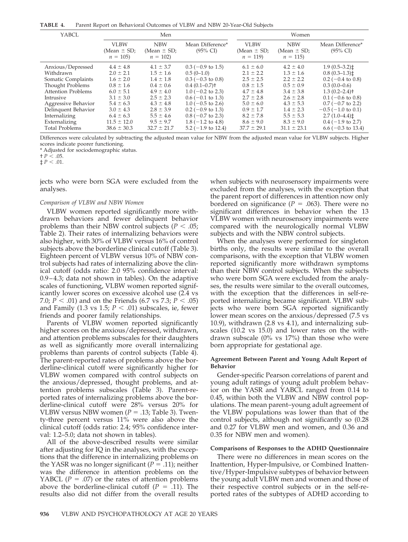**TABLE 4.** Parent Report on Behavioral Outcomes of VLBW and NBW 20-Year-Old Subjects

| YABCL                                                                                                                                                                                              |                                                                                                                                                                          | Men                                                                                                                                                                    |                                                                                                                                                                                                                                | Women                                                                                                                                                                  |                                                                                                                                                                        |                                                                                                                                                                                                                                |  |
|----------------------------------------------------------------------------------------------------------------------------------------------------------------------------------------------------|--------------------------------------------------------------------------------------------------------------------------------------------------------------------------|------------------------------------------------------------------------------------------------------------------------------------------------------------------------|--------------------------------------------------------------------------------------------------------------------------------------------------------------------------------------------------------------------------------|------------------------------------------------------------------------------------------------------------------------------------------------------------------------|------------------------------------------------------------------------------------------------------------------------------------------------------------------------|--------------------------------------------------------------------------------------------------------------------------------------------------------------------------------------------------------------------------------|--|
|                                                                                                                                                                                                    | <b>VLBW</b><br>(Mean $\pm$ SD;<br>$n = 105$                                                                                                                              | <b>NBW</b><br>(Mean $\pm$ SD;<br>$n = 102$                                                                                                                             | Mean Difference*<br>$(95\% \text{ CI})$                                                                                                                                                                                        | VLBW<br>(Mean $\pm$ SD;<br>$n = 119$                                                                                                                                   | <b>NBW</b><br>(Mean $\pm$ SD;<br>$n = 115$                                                                                                                             | Mean Difference*<br>$(95\% \text{ CI})$                                                                                                                                                                                        |  |
| Anxious/Depressed<br>Withdrawn<br>Somatic Complaints<br>Thought Problems<br><b>Attention Problems</b><br>Intrusive<br>Aggressive Behavior<br>Delinquent Behavior<br>Internalizing<br>Externalizing | $4.4 \pm 4.8$<br>$2.0 \pm 2.1$<br>$1.6 \pm 2.0$<br>$0.8 \pm 1.6$<br>$6.0 \pm 5.1$<br>$3.1 \pm 3.0$<br>$5.4 \pm 6.3$<br>$3.0 \pm 4.3$<br>$6.4 \pm 6.3$<br>$11.5 \pm 12.0$ | $4.1 \pm 3.7$<br>$1.5 \pm 1.6$<br>$1.4 \pm 1.8$<br>$0.4 \pm 0.6$<br>$4.9 \pm 4.0$<br>$2.5 \pm 2.3$<br>$4.3 \pm 4.8$<br>$2.8 \pm 3.9$<br>$5.5 \pm 4.6$<br>$9.5 \pm 9.7$ | $0.3$ (-0.9 to 1.5)<br>$0.5(0-1.0)$<br>$0.3$ (-0.3 to 0.8)<br>$0.4(0.1-0.7)$<br>$1.0$ (-0.2 to 2.3)<br>$0.6$ (-0.1 to 1.3)<br>$1.0$ (-0.5 to 2.6)<br>$0.2$ (-0.9 to 1.3)<br>$0.8$ (-0.7 to 2.3)<br>$1.8(-1.2 \text{ to } 4.8)$ | $6.1 \pm 6.0$<br>$2.1 \pm 2.2$<br>$2.5 \pm 2.5$<br>$0.8 \pm 1.5$<br>$4.7 \pm 4.8$<br>$2.7 \pm 2.8$<br>$5.0 \pm 6.0$<br>$0.9 \pm 1.7$<br>$8.2 \pm 7.8$<br>$8.6 \pm 9.0$ | $4.2 \pm 4.0$<br>$1.3 \pm 1.6$<br>$2.2 \pm 2.2$<br>$0.5 \pm 0.9$<br>$3.4 \pm 3.8$<br>$2.6 \pm 2.8$<br>$4.3 \pm 5.3$<br>$1.4 \pm 2.3$<br>$5.5 \pm 5.3$<br>$8.3 \pm 9.0$ | $1.9(0.5-3.2)$ ±<br>$0.8(0.3-1.3)$ <sup>±</sup><br>$0.2$ (-0.4 to 0.8)<br>$0.3(0.0-0.6)$<br>$1.3(0.2 - 2.4)$<br>$0.1$ (-0.6 to 0.8)<br>$0.7$ (-0.7 to 2.2)<br>$-0.5$ ( $-1.0$ to 0.1)<br>$2.7(1.0-4.4)$<br>$0.4$ (-1.9 to 2.7) |  |
| <b>Total Problems</b>                                                                                                                                                                              | $38.6 \pm 30.3$                                                                                                                                                          | $32.7 \pm 21.7$                                                                                                                                                        | $5.2$ (-1.9 to 12.4)                                                                                                                                                                                                           | $37.7 \pm 29.1$                                                                                                                                                        | $31.1 \pm 23.1$                                                                                                                                                        | $6.6$ (-0.3 to 13.4)                                                                                                                                                                                                           |  |

Differences were calculated by subtracting the adjusted mean value for NBW from the adjusted mean value for VLBW subjects. Higher scores indicate poorer functioning.

\* Adjusted for sociodemographic status.

 $+ P < .05.$ 

 $\ddagger$  *P* < .01.

jects who were born SGA were excluded from the analyses.

# *Comparison of VLBW and NBW Women*

VLBW women reported significantly more withdrawn behaviors and fewer delinquent behavior problems than their NBW control subjects ( $P < .05$ ; Table 2). Their rates of internalizing behaviors were also higher, with 30% of VLBW versus 16% of control subjects above the borderline clinical cutoff (Table 3). Eighteen percent of VLBW versus 10% of NBW control subjects had rates of internalizing above the clinical cutoff (odds ratio: 2.0 95% confidence interval: 0.9–4.3; data not shown in tables). On the adaptive scales of functioning, VLBW women reported significantly lower scores on excessive alcohol use (2.4 vs 7.0;  $P < .01$ ) and on the Friends (6.7 vs 7.3;  $P < .05$ ) and Family (1.3 vs 1.5;  $P < .01$ ) subscales, ie, fewer friends and poorer family relationships.

Parents of VLBW women reported significantly higher scores on the anxious/depressed, withdrawn, and attention problems subscales for their daughters as well as significantly more overall internalizing problems than parents of control subjects (Table 4). The parent-reported rates of problems above the borderline-clinical cutoff were significantly higher for VLBW women compared with control subjects on the anxious/depressed, thought problems, and attention problems subscales (Table 3). Parent-reported rates of internalizing problems above the borderline-clinical cutoff were 28% versus 20% for VLBW versus NBW women  $(P=.13;$  Table 3). Twenty-three percent versus 11% were also above the clinical cutoff (odds ratio: 2.4; 95% confidence interval: 1.2–5.0; data not shown in tables).

All of the above-described results were similar after adjusting for IQ in the analyses, with the exceptions that the difference in internalizing problems on the YASR was no longer significant  $(P = .11)$ ; neither was the difference in attention problems on the YABCL  $(P = .07)$  or the rates of attention problems above the borderline-clinical cutoff  $(P = .11)$ . The results also did not differ from the overall results

when subjects with neurosensory impairments were excluded from the analyses, with the exception that the parent report of differences in attention now only bordered on significance ( $P = .063$ ). There were no significant differences in behavior when the 13 VLBW women with neurosensory impairments were compared with the neurologically normal VLBW subjects and with the NBW control subjects.

When the analyses were performed for singleton births only, the results were similar to the overall comparisons, with the exception that VLBW women reported significantly more withdrawn symptoms than their NBW control subjects. When the subjects who were born SGA were excluded from the analyses, the results were similar to the overall outcomes, with the exception that the differences in self-reported internalizing became significant. VLBW subjects who were born SGA reported significantly lower mean scores on the anxious/depressed (7.5 vs 10.9), withdrawn (2.8 vs 4.1), and internalizing subscales (10.2 vs 15.0) and lower rates on the withdrawn subscale (0% vs 17%) than those who were born appropriate for gestational age.

# **Agreement Between Parent and Young Adult Report of Behavior**

Gender-specific Pearson correlations of parent and young adult ratings of young adult problem behavior on the YASR and YABCL ranged from 0.14 to 0.45, within both the VLBW and NBW control populations. The mean parent–young adult agreement of the VLBW populations was lower than that of the control subjects, although not significantly so (0.28 and 0.27 for VLBW men and women, and 0.36 and 0.35 for NBW men and women).

## **Comparisons of Responses to the ADHD Questionnaire**

There were no differences in mean scores on the Inattention, Hyper-Impulsive, or Combined Inattentive/Hyper-Impulsive subtypes of behavior between the young adult VLBW men and women and those of their respective control subjects or in the self-reported rates of the subtypes of ADHD according to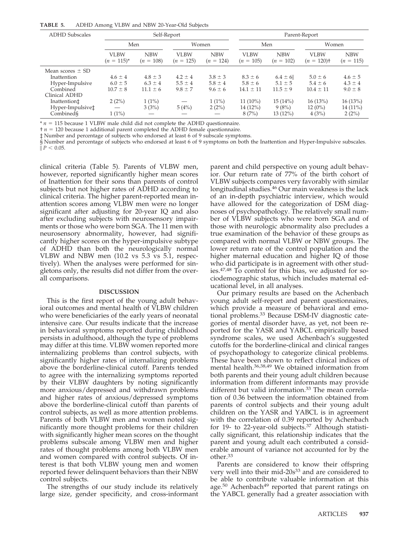| <b>ADHD</b> Subscales    | Self-Report             |                           |                     |                           | Parent-Report       |                           |                       |                           |
|--------------------------|-------------------------|---------------------------|---------------------|---------------------------|---------------------|---------------------------|-----------------------|---------------------------|
|                          | Men                     |                           | Women               |                           | Men                 |                           | Women                 |                           |
|                          | VLBW<br>$(n = 115)^{*}$ | <b>NBW</b><br>$(n = 108)$ | VLBW<br>$(n = 125)$ | <b>NBW</b><br>$(n = 124)$ | VLBW<br>$(n = 105)$ | <b>NBW</b><br>$(n = 102)$ | VLBW<br>$(n = 120)$ + | <b>NBW</b><br>$(n = 115)$ |
| Mean scores $\pm$ SD     |                         |                           |                     |                           |                     |                           |                       |                           |
| Inattention              | $4.6 \pm 4$             | $4.8 \pm 3$               | $4.2 \pm 4$         | $3.8 \pm 3$               | $8.3 \pm 6$         | $6.4 \pm 6$               | $5.0 \pm 6$           | $4.6 \pm 5$               |
| Hyper-Impulsive          | $6.0 \pm 5$             | $6.3 \pm 4$               | $5.5 \pm 4$         | $5.8 \pm 4$               | $5.8 \pm 6$         | $5.1 \pm 5$               | $5.4 \pm 6$           | $4.3 \pm 4$               |
| Combined                 | $10.7 \pm 8$            | $11.1 \pm 6$              | $9.8 \pm 7$         | $9.6 \pm 6$               | $14.1 \pm 11$       | $11.5 \pm 9$              | $10.4 \pm 11$         | $9.0 \pm 8$               |
| Clinical ADHD            |                         |                           |                     |                           |                     |                           |                       |                           |
| Inattention <sup>+</sup> | 2(2%)                   | $1(1\%)$                  |                     | $1(1\%)$                  | $11(10\%)$          | 15(14%)                   | 16(13%)               | 16(13%)                   |
| Hyper-Impulsive‡         |                         | 3(3%)                     | 5(4%)               | 2(2%)                     | $14(12\%)$          | 9(8%)                     | $12(0\%)$             | 14 (11%)                  |
| Combined§                | $1(1\%)$                |                           |                     |                           | 8(7%)               | $13(12\%)$                | 4(3%)                 | 2(2%)                     |

 $n = 115$  because 1 VLBW male child did not complete the ADHD questionnaire.

 $\tau$   $n = 120$  because 1 additional parent completed the ADHD female questionnaire.

‡ Number and percentage of subjects who endorsed at least 6 of 9 subscale symptoms.

§ Number and percentage of subjects who endorsed at least 6 of 9 symptoms on both the Inattention and Hyper-Impulsive subscales.  $P < 0.05$ .

clinical criteria (Table 5). Parents of VLBW men, however, reported significantly higher mean scores of Inattention for their sons than parents of control subjects but not higher rates of ADHD according to clinical criteria. The higher parent-reported mean inattention scores among VLBW men were no longer significant after adjusting for 20-year IQ and also after excluding subjects with neurosensory impairments or those who were born SGA. The 11 men with neurosensory abnormality, however, had significantly higher scores on the hyper-impulsive subtype of ADHD than both the neurologically normal VLBW and NBW men (10.2 vs 5.3 vs 5.1, respectively). When the analyses were performed for singletons only, the results did not differ from the overall comparisons.

## **DISCUSSION**

This is the first report of the young adult behavioral outcomes and mental health of VLBW children who were beneficiaries of the early years of neonatal intensive care. Our results indicate that the increase in behavioral symptoms reported during childhood persists in adulthood, although the type of problems may differ at this time. VLBW women reported more internalizing problems than control subjects, with significantly higher rates of internalizing problems above the borderline-clinical cutoff. Parents tended to agree with the internalizing symptoms reported by their VLBW daughters by noting significantly more anxious/depressed and withdrawn problems and higher rates of anxious/depressed symptoms above the borderline-clinical cutoff than parents of control subjects, as well as more attention problems. Parents of both VLBW men and women noted significantly more thought problems for their children with significantly higher mean scores on the thought problems subscale among VLBW men and higher rates of thought problems among both VLBW men and women compared with control subjects. Of interest is that both VLBW young men and women reported fewer delinquent behaviors than their NBW control subjects.

The strengths of our study include its relatively large size, gender specificity, and cross-informant

parent and child perspective on young adult behavior. Our return rate of 77% of the birth cohort of VLBW subjects compares very favorably with similar longitudinal studies.<sup>46</sup> Our main weakness is the lack of an in-depth psychiatric interview, which would have allowed for the categorization of DSM diagnoses of psychopathology. The relatively small number of VLBW subjects who were born SGA and of those with neurologic abnormality also precludes a true examination of the behavior of these groups as compared with normal VLBW or NBW groups. The lower return rate of the control population and the higher maternal education and higher IQ of those who did participate is in agreement with other studies.47,48 To control for this bias, we adjusted for sociodemographic status, which includes maternal educational level, in all analyses.

Our primary results are based on the Achenbach young adult self-report and parent questionnaires, which provide a measure of behavioral and emotional problems.<sup>33</sup> Because DSM-IV diagnostic categories of mental disorder have, as yet, not been reported for the YASR and YABCL empirically based syndrome scales, we used Achenbach's suggested cutoffs for the borderline-clinical and clinical ranges of psychopathology to categorize clinical problems. These have been shown to reflect clinical indices of mental health.36,38,49 We obtained information from both parents and their young adult children because information from different informants may provide different but valid information.<sup>33</sup> The mean correlation of 0.36 between the information obtained from parents of control subjects and their young adult children on the YASR and YABCL is in agreement with the correlation of 0.39 reported by Achenbach for 19- to 22-year-old subjects.<sup>37</sup> Although statistically significant, this relationship indicates that the parent and young adult each contributed a considerable amount of variance not accounted for by the other.33

Parents are considered to know their offspring very well into their mid-20s<sup>33</sup> and are considered to be able to contribute valuable information at this age.<sup>50</sup> Achenbach<sup>49</sup> reported that parent ratings on the YABCL generally had a greater association with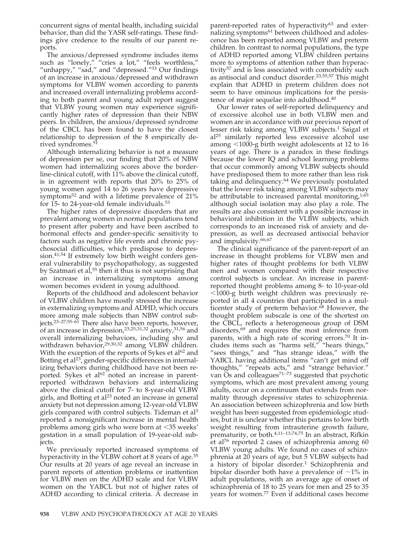concurrent signs of mental health, including suicidal behavior, than did the YASR self-ratings. These findings give credence to the results of our parent reports.

The anxious/depressed syndrome includes items such as "lonely," "cries a lot," "feels worthless," "unhappy," "sad," and "depressed."<sup>33</sup> Our findings of an increase in anxious/depressed and withdrawn symptoms for VLBW women according to parents and increased overall internalizing problems according to both parent and young adult report suggest that VLBW young women may experience significantly higher rates of depression than their NBW peers. In children, the anxious/depressed syndrome of the CBCL has been found to have the closest relationship to depression of the 8 empirically derived syndromes.<sup>51</sup>

Although internalizing behavior is not a measure of depression per se, our finding that 20% of NBW women had internalizing scores above the borderline-clinical cutoff, with  $11\%$  above the clinical cutoff, is in agreement with reports that 20% to 25% of young women aged 14 to 26 years have depressive symptoms<sup>52</sup> and with a lifetime prevalence of  $21\%$ for 15- to 24-year-old female individuals.53

The higher rates of depressive disorders that are prevalent among women in normal populations tend to present after puberty and have been ascribed to hormonal effects and gender-specific sensitivity to factors such as negative life events and chronic psychosocial difficulties, which predispose to depression.41,54 If extremely low birth weight confers general vulnerability to psychopathology, as suggested by Szatmari et al,<sup>55</sup> then it thus is not surprising that an increase in internalizing symptoms among women becomes evident in young adulthood.

Reports of the childhood and adolescent behavior of VLBW children have mostly stressed the increase in externalizing symptoms and ADHD, which occurs more among male subjects than NBW control subjects.23–27,55–61 There also have been reports, however, of an increase in depression,  $2^{3,25,31,32}$  anxiety,  $3^{1,56}$  and overall internalizing behaviors, including shy and withdrawn behavior,<sup>29,30,32</sup> among VLBW children. With the exception of the reports of Sykes et al<sup>62</sup> and Botting et al<sup>23</sup>, gender-specific differences in internalizing behaviors during childhood have not been reported. Sykes et al $62$  noted an increase in parentreported withdrawn behaviors and internalizing above the clinical cutoff for 7- to 8-year-old VLBW girls, and Botting et al<sup>23</sup> noted an increase in general anxiety but not depression among 12-year-old VLBW girls compared with control subjects. Tideman et al3 reported a nonsignificant increase in mental health problems among girls who were born at  $\leq$ 35 weeks' gestation in a small population of 19-year-old subjects.

We previously reported increased symptoms of hyperactivity in the VLBW cohort at 8 years of age.<sup>35</sup> Our results at 20 years of age reveal an increase in parent reports of attention problems or inattention for VLBW men on the ADHD scale and for VLBW women on the YABCL but not of higher rates of ADHD according to clinical criteria. A decrease in

parent-reported rates of hyperactivity<sup>63</sup> and externalizing symptoms<sup>61</sup> between childhood and adolescence has been reported among VLBW and preterm children. In contrast to normal populations, the type of ADHD reported among VLBW children pertains more to symptoms of attention rather than hyperactivity<sup>57</sup> and is less associated with comorbidity such as antisocial and conduct disorder.23,55,57 This might explain that ADHD in preterm children does not seem to have ominous implications for the persistence of major sequelae into adulthood.<sup>40</sup>

Our lower rates of self-reported delinquency and of excessive alcohol use in both VLBW men and women are in accordance with our previous report of lesser risk taking among VLBW subjects.<sup>1</sup> Saigal et al25 similarly reported less excessive alcohol use among  $\leq 1000$ -g birth weight adolescents at 12 to 16 years of age. There is a paradox in these findings because the lower IQ and school learning problems that occur commonly among VLBW subjects should have predisposed them to more rather than less risk taking and delinquency.64 We previously postulated that the lower risk taking among VLBW subjects may be attributable to increased parental monitoring,  $1,65$ although social isolation may also play a role. The results are also consistent with a possible increase in behavioral inhibition in the VLBW subjects, which corresponds to an increased risk of anxiety and depression, as well as decreased antisocial behavior and impulsivity.66,67

The clinical significance of the parent-report of an increase in thought problems for VLBW men and higher rates of thought problems for both VLBW men and women compared with their respective control subjects is unclear. An increase in parentreported thought problems among 8- to 10-year-old 1000-g birth weight children was previously reported in all 4 countries that participated in a multicenter study of preterm behavior.<sup>68</sup> However, the thought problem subscale is one of the shortest on the CBCL, reflects a heterogeneous group of DSM disorders,69 and requires the most inference from parents, with a high rate of scoring errors.<sup>70</sup> It includes items such as "harms self," "hears things," "sees things," and "has strange ideas," with the YABCL having additional items "can't get mind off thoughts," "repeats acts," and "strange behavior." van  $\mathrm{O}_S$  and colleagues<sup>71–73</sup> suggested that psychotic symptoms, which are most prevalent among young adults, occur on a continuum that extends from normality through depressive states to schizophrenia. An association between schizophrenia and low birth weight has been suggested from epidemiologic studies, but it is unclear whether this pertains to low birth weight resulting from intrauterine growth failure, prematurity, or both.4,11–13,74,75 In an abstract, Rifkin et al76 reported 2 cases of schizophrenia among 60 VLBW young adults. We found no cases of schizophrenia at 20 years of age, but 5 VLBW subjects had a history of bipolar disorder.<sup>1</sup> Schizophrenia and bipolar disorder both have a prevalence of  $\sim$ 1% in adult populations, with an average age of onset of schizophrenia of 18 to 25 years for men and 25 to 35 years for women.<sup>77</sup> Even if additional cases become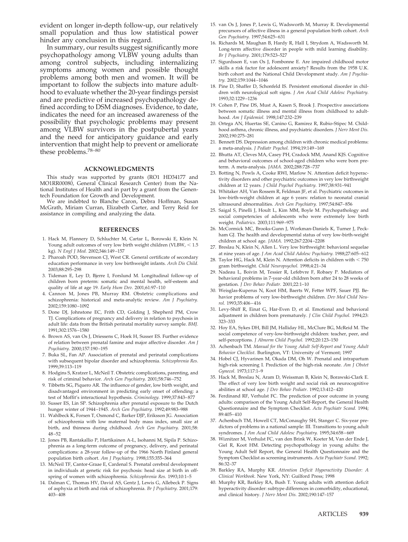evident on longer in-depth follow-up, our relatively small population and thus low statistical power hinder any conclusion in this regard.

In summary, our results suggest significantly more psychopathology among VLBW young adults than among control subjects, including internalizing symptoms among women and possible thought problems among both men and women. It will be important to follow the subjects into mature adulthood to evaluate whether the 20-year findings persist and are predictive of increased psychopathology defined according to DSM diagnoses. Evidence, to date, indicates the need for an increased awareness of the possibility that psychologic problems may present among VLBW survivors in the postpubertal years and the need for anticipatory guidance and early intervention that might help to prevent or ameliorate these problems.78–80

## **ACKNOWLEDGMENTS**

This study was supported by grants (RO1 HD34177 and MO1RR00080, General Clinical Research Center) from the National Institutes of Health and in part by a grant from the Genentech Foundation for Growth and Development.

We are indebted to Blanche Caron, Debra Hoffman, Susan McGrath, Miriam Curran, Elizabeth Carter, and Terry Reid for assistance in compiling and analyzing the data.

#### **REFERENCES**

- 1. Hack M, Flannery D, Schluchter M, Cartar L, Borowski E, Klein N. Young adult outcomes of very low birth weight children (VLBW, < 1.5 kg). *N Engl J Med.* 2002;346:149–157
- 2. Pharoah POD, Stevenson CJ, West CR. General certificate of secondary education performance in very low birthweight infants. *Arch Dis Child.* 2003;88:295–298
- 3. Tideman E, Ley D, Bjerre I, Forslund M. Longitudinal follow-up of children born preterm: somatic and mental health, self-esteem and quality of life at age 19. *Early Hum Dev.* 2001;61:97–110
- 4. Cannon M, Jones PB, Murray RM. Obstetric complications and schizophrenia: historical and meta-analytic review. *Am J Psychiatry.* 2002;159:1080–1092
- 5. Done DJ, Johnstone EC, Frith CD, Golding J, Shepherd PM, Crow TJ. Complications of pregnancy and delivery in relation to psychosis in adult life: data from the British perinatal mortality survey sample. *BMJ.* 1991;302:1576–1580
- 6. Brown AS, van Os J, Driessens C, Hoek H, Susser ES. Further evidence of relation between prenatal famine and major affective disorder. *Am J Psychiatry.* 2000;157:190–195
- 7. Buka SL, Fan AP. Association of prenatal and perinatal complications with subsequent bipolar disorder and schizophrenia. *Schizophrenia Res.* 1999;39:113–119
- 8. Hodgins S, Kratzer L, McNeil T. Obstetric complications, parenting, and risk of criminal behavior. *Arch Gen Psychiatry.* 2001;58:746–752
- 9. Tibbetts SG, Piquero AR. The influence of gender, low birth weight, and disadvantaged environment in predicting early onset of offending: a test of Moffit's interactional hypothesis. *Criminology.* 1999;37:843–877
- 10. Susser ES, Lin SP. Schizophrenia after prenatal exposure to the Dutch hunger winter of 1944–1945. *Arch Gen Psychiatry.* 1992;49:983–988
- 11. Wahlbeck K, Forsen T, Osmond C, Barker DJP, Eriksson JG. Association of schizophrenia with low maternal body mass index, small size at birth, and thinness during childhood. *Arch Gen Psychiatry.* 2001;58: 48–52
- 12. Jones PB, Rantakallio P, Hartikainen A-L, Isohanni M, Sipila P. Schizophrenia as a long-term outcome of pregnancy, delivery, and perinatal complications: a 28-year follow-up of the 1966 North Finland general population birth cohort. *Am J Psychiatry.* 1998;155:355–364
- 13. McNeil TF, Cantor-Graae E, Cardenal S. Prenatal cerebral development in individuals at genetic risk for psychosis: head size at birth in offspring of women with schizophrenia. *Schizophrenia Res.* 1993;10:1–5
- 14. Dalman C, Thomas HV, David AS, Gentz J, Lewis G, Allebeck P. Signs of asphyxia at birth and risk of schizophrenia. *Br J Psychiatry.* 2001;179: 403–408
- 15. van Os J, Jones P, Lewis G, Wadsworth M, Murray R. Developmental precursors of affective illness in a general population birth cohort. *Arch Gen Psychiatry.* 1997;54:625–631
- 16. Richards M, Maughan B, Hardy R, Hall I, Strydom A, Wadsworth M. Long-term affective disorder in people with mild learning disability. *Br J Psychiatry.* 2001;179:523–527
- 17. Sigurdsson E, van Os J, Fombonne E. Are impaired childhood motor skills a risk factor for adolescent anxiety? Results from the 1958 U.K. birth cohort and the National Child Development study. *Am J Psychiatry.* 2002;159:1044–1046
- 18. Pine D, Shaffer D, Schonfeld IS. Persistent emotional disorder in children with neurological soft signs. *J Am Acad Child Adolesc Psychiatry.* 1993;32:1229–1236
- 19. Cohen P, Pine DS, Must A, Kasen S, Brook J. Prospective associations between somatic illness and mental illness from childhood to adulthood. *Am J Epidemiol.* 1998;147:232–239
- 20. Ortega AN, Huertas SE, Canino G, Ramirez R, Rubio-Stipec M. Childhood asthma, chronic illness, and psychiatric disorders. *J Nerv Ment Dis.* 2002;190:275–281
- 21. Bennett DS. Depression among children with chronic medical problems: a meta-analysis. *J Pediatr Psychol.* 1994;19:149–169
- 22. Bhutta AT, Cleves MA, Casey PH, Cradock MM, Anand KJS. Cognitive and behavioral outcomes of school-aged children who were born preterm. A meta-analysis. *JAMA.* 2002;288:728–737
- 23. Botting N, Powls A, Cooke RWI, Marlow N. Attention deficit hyperactivity disorders and other psychiatric outcomes in very low birthweight children at 12 years. *J Child Psychol Psychiatry.* 1997;38:931–941
- 24. Whitaker AH, Van Rossem R, Feldman JF, et al. Psychiatric outcomes in low-birth-weight children at age 6 years: relation to neonatal cranial ultrasound abnormalities. *Arch Gen Psychiatry.* 1997;54:847–856
- 25. Saigal S, Pinelli J, Hoult L, Kim MM, Boyle M. Psychopathology and social competencies of adolescents who were extremely low birth weight. *Pediatrics.* 2003;111:969–975
- 26. McCormick MC, Brooks-Gunn J, Workman-Daniels K, Turner J, Peckham GJ. The health and developmental status of very low-birth-weight children at school age. *JAMA.* 1992;267:2204–2208
- 27. Breslau N, Klein N, Allen L. Very low birthweight: behavioral sequelae at nine years of age. *J Am Acad Child Adolesc Psychiatry.* 1988;27:605–612
- 28. Taylor HG, Hack M, Klein N. Attention deficits in children with 750 gram birthweight. *Child Neuropsychol.* 1998;4:21–34
- 29. Nadeau L, Boivin M, Tessier R, Lefebvre F, Robaey P. Mediators of behavioral problems in 7-year-old children born after 24 to 28 weeks of gestation. *J Dev Behav Pediatr.* 2001;22:1–10
- 30. Weisglas-Kuperus N, Koot HM, Baerts W, Fetter WPF, Sauer PJJ. Behavior problems of very low-birthweight children. *Dev Med Child Neurol.* 1993;35:406–416
- 31. Levy-Shiff R, Einat G, Har-Even D, et al. Emotional and behavioral adjustment in children born prematurely. *J Clin Child Psychol.* 1994;23: 323–333
- 32. Hoy EA, Sykes DH, Bill JM, Halliday HL, McClure BG, McReid M. The social competence of very-low-birthweight children: teacher, peer, and self-perceptions. *J Abnorm Child Psychol.* 1992;20:123–150
- 33. Achenbach TM. *Manual for the Young Adult Self-Report and Young Adult Behavior Checklist*. Burlington, VT: University of Vermont; 1997
- 34. Hobel CJ, Hyvarinen M, Okada DM, Oh W. Prenatal and intrapartum high-risk screening I. Prediction of the high-risk neonate. *Am J Obstet Gynecol.* 1973;117:1–9
- 35. Hack M, Breslau N, Aram D, Weissman B, Klein N, Borawski-Clark E. The effect of very low birth weight and social risk on neurocognitive abilities at school age. *J Dev Behav Pediatr.* 1992;13:412–420
- 36. Ferdinand RF, Verhulst FC. The prediction of poor outcome in young adults: comparison of the Young Adult Self-Report, the General Health Questionnaire and the Symptom Checklist. *Acta Psychiatr Scand.* 1994; 89:405–410
- 37. Achenbach TM, Howell CT, McConaughy SH, Stanger C. Six-year predictors of problems in a national sample: III. Transitions to young adult syndromes. *J Am Acad Child Adolesc Psychiatry.* 1995;34:658–669
- 38. Wiznitzer M, Verhulst FC, van den Brink W, Koeter M, Van der Ende J, Giel R, Koot HM. Detecting psychopathology in young adults: the Young Adult Self Report, the General Health Questionnaire and the Symptom Checklist as screening instruments. *Acta Psychiatr Scand.* 1992; 86:32–37
- 39. Barkley RA, Murphy KR. *Attention Deficit Hyperactivity Disorder: A Clinical Workbook*. New York, NY: Guilford Press; 1998
- 40. Murphy KR, Barkley RA, Bush T. Young adults with attention deficit hyperactivity disorder: subtype differences in comorbidity, educational, and clinical history. *J Nerv Ment Dis.* 2002;190:147–157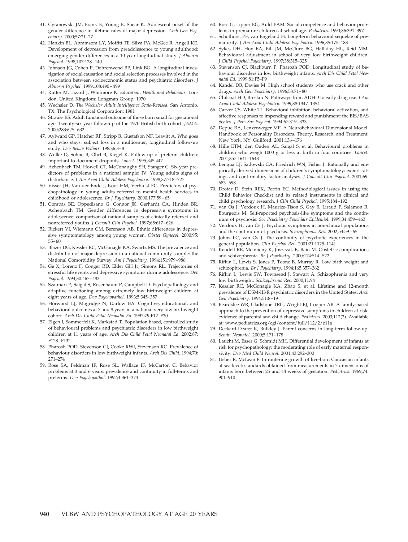- 41. Cyranowski JM, Frank E, Young E, Shear K. Adolescent onset of the gender difference in lifetime rates of major depression. *Arch Gen Psychiatry.* 2000;57:21–27
- 42. Hankin BL, Abramsom LY, Moffitt TE, Silva PA, McGee R, Angell KE. Development of depression from preadolescence to young adulthood: emerging gender differences in a 10-year longitudinal study. *J Abnorm Psychol.* 1998;107:128–140
- 43. Johnson JG, Cohen P, Dohrenwend BP, Link BG. A longitudinal investigation of social causation and social selection processes involved in the association between socioeconomic status and psychiatric disorders. *J Abnorm Psychol.* 1999;108:490–499
- 44. Rutter M, Tizard J, Whitmore K. *Education, Health and Behaviour*. London, United Kingdom: Longman Group; 1970
- 45. Wechsler D. *The Wechsler Adult Intelligence Scale-Revised*. San Antonio, TX: The Psychological Corporation; 1981
- 46. Strauss RS. Adult functional outcome of those born small for gestational age. Twenty-six year follow-up of the 1970 British birth cohort. *JAMA.* 2000;283:625–632
- 47. Aylward GP, Hatcher RP, Stripp B, Gustafson NF, Leavitt A. Who goes and who stays: subject loss in a multicenter, longitudinal follow-up study. *Dev Behav Pediatr.* 1985;6:3–8
- 48. Wolke D, Sohne B, Ohrt B, Riegel K. Follow-up of preterm children: important to document dropouts. *Lancet.* 1995;345:447
- 49. Achenbach TM, Howell CT, McConaughy SH, Stanger C. Six-year predictors of problems in a national sample: IV. Young adults signs of disturbance. *J Am Acad Child Adolesc Psychiatry.* 1998;37:718–727
- 50. Visser JH, Van der Ende J, Koot HM, Verhulst FC. Predictors of psychopathology in young adults referred to mental health services in childhood or adolescence. *Br J Psychiatry.* 2000;177:59–65
- 51. Compas BE, Oppedisano G, Connor JK, Gerhardt CA, Hinden BR, Achenbach TM. Gender differences in depressive symptoms in adolescence: comparison of national samples of clinically referred and nonreferred youths. *J Consult Clin Psychol.* 1997;65:617–626
- 52. Rickert VI, Wiemann CM, Berenson AB. Ethnic differences in depressive symptomatology among young women. *Obstet Gynecol.* 2000;95: 55–60
- 53. Blazer DG, Kessler RC, McGonagle KA, Swartz MS. The prevalence and distribution of major depression in a national community sample: the National Comorbidity Survey. *Am J Psychiatry.* 1994;151:979–986
- 54. Ge X, Lorenz F, Conger RD, Elder GH Jr, Simons RL. Trajectories of stressful life events and depressive symptoms during adolescence. *Dev Psychol.* 1994;30:467–483
- 55. Szatmari P, Saigal S, Rosenbaum P, Campbell D. Psychopathology and adaptive functioning among extremely low birthweight children at eight years of age. *Dev Psychopathol.* 1993;5:345–357
- 56. Horwood LJ, Mogridge N, Darlow BA. Cognitive, educational, and behavioral outcomes at 7 and 8 years in a national very low birthweight cohort. *Arch Dis Child Fetal Neonatal Ed.* 1997;79:F12–F20
- 57. Elgen I, Sommerfelt K, Markstad T. Population based, controlled study of behavioural problems and psychiatric disorders in low birthweight children at 11 years of age. *Arch Dis Child Fetal Neonatal Ed.* 2002;87: F128–F132
- 58. Pharoah POD, Stevenson CJ, Cooke RWI, Stevenson RC. Prevalence of behaviour disorders in low birthweight infants. *Arch Dis Child.* 1994;70: 271–274
- 59. Rose SA, Feldman JF, Rose SL, Wallace IF, McCarton C. Behavior problems at 3 and 6 years: prevalence and continuity in full-terms and preterms. *Dev Psychopathol.* 1992;4:361–374
- 60. Ross G, Lipper EG, Auld PAM. Social competence and behavior problems in premature children at school age. *Pediatrics.* 1990;86:391–397
- 61. Schothorst PF, van Engeland H. Long-term behavioral sequelae of prematurity. *J Am Acad Child Adolesc Psychiatry.* 1996;35:175–183
- 62. Sykes DH, Hoy EA, Bill JM, McClure BG, Halliday HL, Reid MM. Behavioural adjustment in school of very low birthweight children. *J Child Psychol Psychiatry.* 1997;38:315–325
- 63. Stevenson CJ, Blackburn P, Pharoah POD. Longitudinal study of behaviour disorders in low birthweight infants. *Arch Dis Child Fetal Neonatal Ed.* 1999;81:F5–F9
- 64. Kandel DB, Davies M. High school students who use crack and other drugs. *Arch Gen Psychiatry.* 1996;53:71–80
- 65. Chilcoat HD, Breslau N. Pathways from ADHD to early drug use. *J Am Acad Child Adolesc Psychiatry.* 1999;38:1347–1354
- 66. Carver CS, White TL. Behavioral inhibition, behavioral activation, and affective responses to impending reward and punishment: the BIS/BAS Scales. *J Pers Soc Psychol.* 1994;67:319–333
- 67. Depue RA, Lenzenweger MF. A Neurobehavioral Dimensional Model. Handbook of Personality Disorders. Theory, Research, and Treatment. New York, NY: Guilford; 2001:136–176
- 68. Hille ETM, den Ouden AL, Saigal S, et al. Behavioural problems in children who weigh 1000 g or less at birth in four countries. *Lancet.* 2001;357:1641–1643
- 69. Lengua LJ, Sadowski CA, Friedrich WN, Fisher J. Rationally and empirically derived dimensions of children's symptomatology: expert ratings and confirmatory factor analyses. *J Consult Clin Psychol.* 2001;69: 683–698
- 70. Drotar D, Stein REK, Perrin EC. Methodological issues in using the Child Behavior Checklist and its related instruments in clinical and child psychology research. *J Clin Child Psychol.* 1995;184–192
- 71. van Os J, Verdoux H, Maurice-Tison S, Gay B, Liraud F, Salamon R, Bourgeois M. Self-reported psychosis-like symptoms and the continuum of psychosis. *Soc Psychiatry Psychiatr Epidemiol.* 1999;34:459–463
- 72. Verdoux H, van Os J. Psychotic symptoms in non-clinical populations and the continuum of psychosis. *Schizophrenia Res.* 2002;54:59–65
- 73. Johns LC, van Os J. The continuity of psychotic experiences in the general population. *Clin Psychol Rev.* 2001;21:1125–1141
- 74. Kendell RE, McInneny K, Juszczak E, Bain M. Obstetric complications and schizophrenia. *Br J Psychiatry.* 2000;174:514–522
- 75. Rifkin L, Lewis S, Jones P, Toone B, Murray R. Low birth weight and schizophrenia. *Br J Psychiatry.* 1994;165:357–362
- 76. Rifkin L, Lewis SW, Townsend J, Stewart A. Schizophrenia and very low birthweight. *Schizophrenia Res.* 2000;11:94
- 77. Kessler RC, McGonagle KA, Zhao S, et al. Lifetime and 12-month prevalence of DSM-III-R psychiatric disorders in the United States. *Arch Gen Psychiatry.* 1994;51:8–19
- 78. Beardslee WR, Gladstone TRG, Wright EJ, Cooper AB. A family-based approach to the prevention of depressive symptoms in children at risk: evidence of parental and child change. *Pediatrics.* 2003;112(2). Available at: www.pediatrics.org/cgi/content/full/112/2/e11a
- 79. Deckard-Deater K, Bulkley J. Parent concerns in long-term follow-up. *Semin Neonatol.* 2000;5:171–178
- 80. Laucht M, Esser G, Schmidt MH. Differential development of infants at risk for psychopathology: the moderating role of early maternal responsivity. *Dev Med Child Neurol.* 2001;43:292–300
- 81. Usher R, McLean F. Intrauterine growth of live-born Caucasian infants at sea level: standards obtained from measurements in 7 dimensions of infants born between 25 and 44 weeks of gestation. *Pediatrics.* 1969;74: 901–910